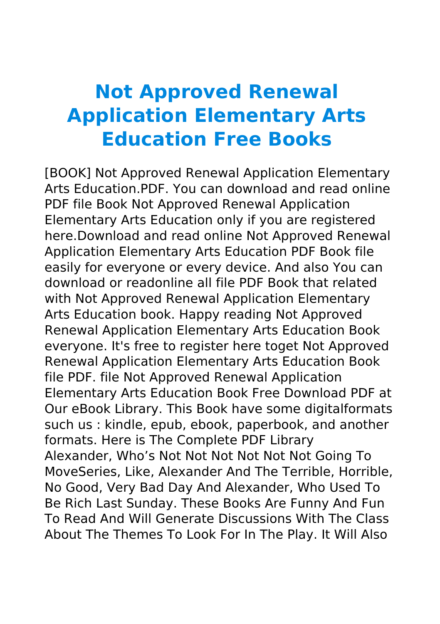## **Not Approved Renewal Application Elementary Arts Education Free Books**

[BOOK] Not Approved Renewal Application Elementary Arts Education.PDF. You can download and read online PDF file Book Not Approved Renewal Application Elementary Arts Education only if you are registered here.Download and read online Not Approved Renewal Application Elementary Arts Education PDF Book file easily for everyone or every device. And also You can download or readonline all file PDF Book that related with Not Approved Renewal Application Elementary Arts Education book. Happy reading Not Approved Renewal Application Elementary Arts Education Book everyone. It's free to register here toget Not Approved Renewal Application Elementary Arts Education Book file PDF. file Not Approved Renewal Application Elementary Arts Education Book Free Download PDF at Our eBook Library. This Book have some digitalformats such us : kindle, epub, ebook, paperbook, and another formats. Here is The Complete PDF Library Alexander, Who's Not Not Not Not Not Not Going To MoveSeries, Like, Alexander And The Terrible, Horrible, No Good, Very Bad Day And Alexander, Who Used To Be Rich Last Sunday. These Books Are Funny And Fun To Read And Will Generate Discussions With The Class About The Themes To Look For In The Play. It Will Also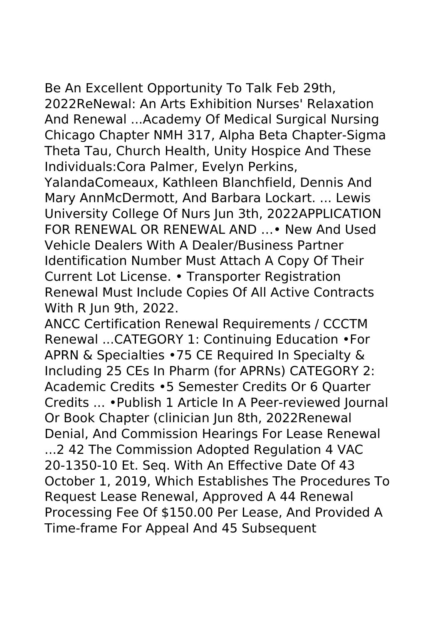Be An Excellent Opportunity To Talk Feb 29th, 2022ReNewal: An Arts Exhibition Nurses' Relaxation And Renewal ...Academy Of Medical Surgical Nursing Chicago Chapter NMH 317, Alpha Beta Chapter-Sigma Theta Tau, Church Health, Unity Hospice And These Individuals:Cora Palmer, Evelyn Perkins,

YalandaComeaux, Kathleen Blanchfield, Dennis And Mary AnnMcDermott, And Barbara Lockart. ... Lewis University College Of Nurs Jun 3th, 2022APPLICATION FOR RENEWAL OR RENEWAL AND …• New And Used Vehicle Dealers With A Dealer/Business Partner Identification Number Must Attach A Copy Of Their Current Lot License. • Transporter Registration Renewal Must Include Copies Of All Active Contracts With R Jun 9th, 2022.

ANCC Certification Renewal Requirements / CCCTM Renewal ...CATEGORY 1: Continuing Education •For APRN & Specialties •75 CE Required In Specialty & Including 25 CEs In Pharm (for APRNs) CATEGORY 2: Academic Credits •5 Semester Credits Or 6 Quarter Credits ... •Publish 1 Article In A Peer-reviewed Journal Or Book Chapter (clinician Jun 8th, 2022Renewal Denial, And Commission Hearings For Lease Renewal ...2 42 The Commission Adopted Regulation 4 VAC 20-1350-10 Et. Seq. With An Effective Date Of 43 October 1, 2019, Which Establishes The Procedures To Request Lease Renewal, Approved A 44 Renewal Processing Fee Of \$150.00 Per Lease, And Provided A Time-frame For Appeal And 45 Subsequent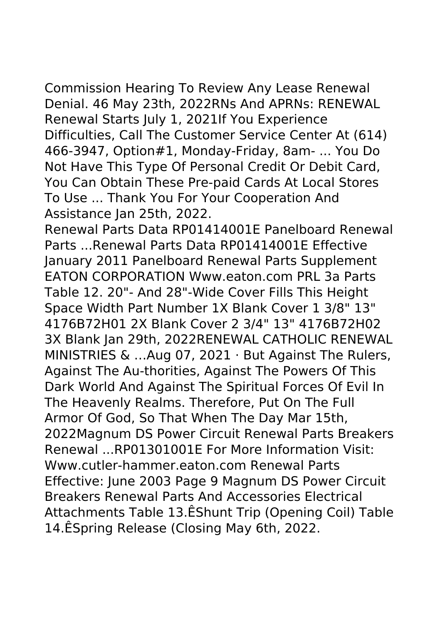Commission Hearing To Review Any Lease Renewal Denial. 46 May 23th, 2022RNs And APRNs: RENEWAL Renewal Starts July 1, 2021If You Experience Difficulties, Call The Customer Service Center At (614) 466-3947, Option#1, Monday-Friday, 8am- ... You Do Not Have This Type Of Personal Credit Or Debit Card, You Can Obtain These Pre-paid Cards At Local Stores To Use ... Thank You For Your Cooperation And Assistance Jan 25th, 2022.

Renewal Parts Data RP01414001E Panelboard Renewal Parts ...Renewal Parts Data RP01414001E Effective January 2011 Panelboard Renewal Parts Supplement EATON CORPORATION Www.eaton.com PRL 3a Parts Table 12. 20"- And 28"-Wide Cover Fills This Height Space Width Part Number 1X Blank Cover 1 3/8" 13" 4176B72H01 2X Blank Cover 2 3/4" 13" 4176B72H02 3X Blank Jan 29th, 2022RENEWAL CATHOLIC RENEWAL MINISTRIES & …Aug 07, 2021 · But Against The Rulers, Against The Au-thorities, Against The Powers Of This Dark World And Against The Spiritual Forces Of Evil In The Heavenly Realms. Therefore, Put On The Full Armor Of God, So That When The Day Mar 15th, 2022Magnum DS Power Circuit Renewal Parts Breakers Renewal ...RP01301001E For More Information Visit: Www.cutler-hammer.eaton.com Renewal Parts Effective: June 2003 Page 9 Magnum DS Power Circuit Breakers Renewal Parts And Accessories Electrical Attachments Table 13.ÊShunt Trip (Opening Coil) Table 14.ÊSpring Release (Closing May 6th, 2022.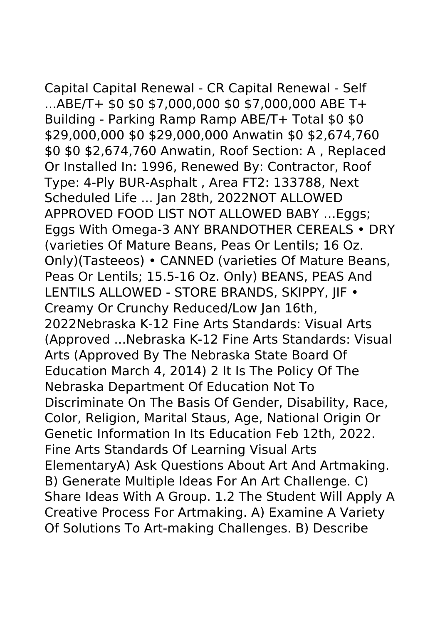Capital Capital Renewal - CR Capital Renewal - Self ...ABE/T+ \$0 \$0 \$7,000,000 \$0 \$7,000,000 ABE T+ Building - Parking Ramp Ramp ABE/T+ Total \$0 \$0 \$29,000,000 \$0 \$29,000,000 Anwatin \$0 \$2,674,760 \$0 \$0 \$2,674,760 Anwatin, Roof Section: A , Replaced Or Installed In: 1996, Renewed By: Contractor, Roof Type: 4-Ply BUR-Asphalt , Area FT2: 133788, Next Scheduled Life ... Jan 28th, 2022NOT ALLOWED APPROVED FOOD LIST NOT ALLOWED BABY …Eggs; Eggs With Omega-3 ANY BRANDOTHER CEREALS • DRY (varieties Of Mature Beans, Peas Or Lentils; 16 Oz. Only)(Tasteeos) • CANNED (varieties Of Mature Beans, Peas Or Lentils; 15.5-16 Oz. Only) BEANS, PEAS And LENTILS ALLOWED - STORE BRANDS, SKIPPY, JIF • Creamy Or Crunchy Reduced/Low Jan 16th, 2022Nebraska K-12 Fine Arts Standards: Visual Arts (Approved ...Nebraska K-12 Fine Arts Standards: Visual Arts (Approved By The Nebraska State Board Of Education March 4, 2014) 2 It Is The Policy Of The Nebraska Department Of Education Not To Discriminate On The Basis Of Gender, Disability, Race, Color, Religion, Marital Staus, Age, National Origin Or Genetic Information In Its Education Feb 12th, 2022. Fine Arts Standards Of Learning Visual Arts ElementaryA) Ask Questions About Art And Artmaking. B) Generate Multiple Ideas For An Art Challenge. C) Share Ideas With A Group. 1.2 The Student Will Apply A Creative Process For Artmaking. A) Examine A Variety Of Solutions To Art-making Challenges. B) Describe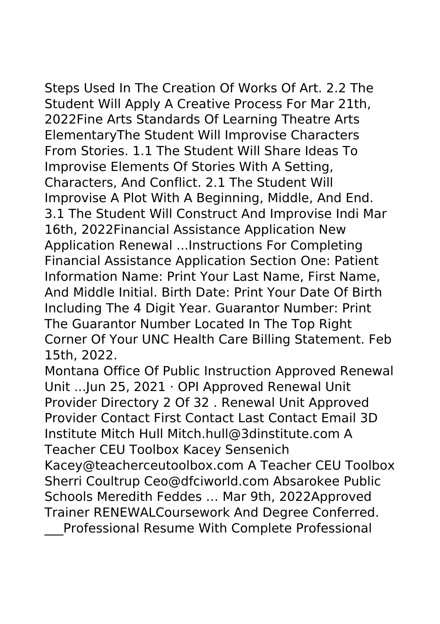Steps Used In The Creation Of Works Of Art. 2.2 The Student Will Apply A Creative Process For Mar 21th, 2022Fine Arts Standards Of Learning Theatre Arts ElementaryThe Student Will Improvise Characters From Stories. 1.1 The Student Will Share Ideas To Improvise Elements Of Stories With A Setting, Characters, And Conflict. 2.1 The Student Will Improvise A Plot With A Beginning, Middle, And End. 3.1 The Student Will Construct And Improvise Indi Mar 16th, 2022Financial Assistance Application New Application Renewal ...Instructions For Completing Financial Assistance Application Section One: Patient Information Name: Print Your Last Name, First Name, And Middle Initial. Birth Date: Print Your Date Of Birth Including The 4 Digit Year. Guarantor Number: Print

The Guarantor Number Located In The Top Right Corner Of Your UNC Health Care Billing Statement. Feb 15th, 2022.

Montana Office Of Public Instruction Approved Renewal Unit ...Jun 25, 2021 · OPI Approved Renewal Unit Provider Directory 2 Of 32 . Renewal Unit Approved Provider Contact First Contact Last Contact Email 3D Institute Mitch Hull Mitch.hull@3dinstitute.com A Teacher CEU Toolbox Kacey Sensenich Kacey@teacherceutoolbox.com A Teacher CEU Toolbox

Sherri Coultrup Ceo@dfciworld.com Absarokee Public Schools Meredith Feddes … Mar 9th, 2022Approved Trainer RENEWALCoursework And Degree Conferred.

\_\_\_Professional Resume With Complete Professional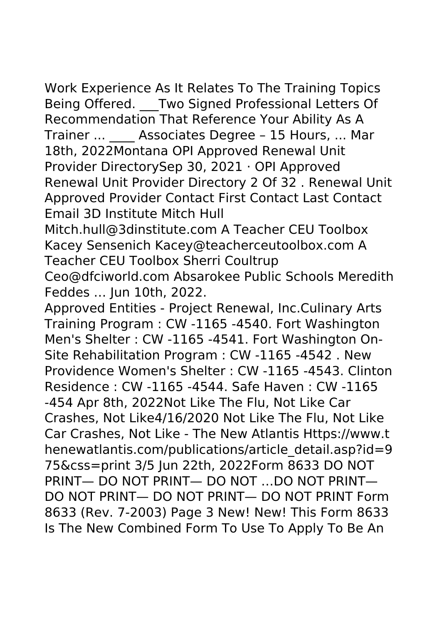Work Experience As It Relates To The Training Topics Being Offered. Two Signed Professional Letters Of Recommendation That Reference Your Ability As A Trainer ... Associates Degree - 15 Hours, ... Mar 18th, 2022Montana OPI Approved Renewal Unit Provider DirectorySep 30, 2021 · OPI Approved Renewal Unit Provider Directory 2 Of 32 . Renewal Unit Approved Provider Contact First Contact Last Contact Email 3D Institute Mitch Hull

Mitch.hull@3dinstitute.com A Teacher CEU Toolbox Kacey Sensenich Kacey@teacherceutoolbox.com A Teacher CEU Toolbox Sherri Coultrup

Ceo@dfciworld.com Absarokee Public Schools Meredith Feddes … Jun 10th, 2022.

Approved Entities - Project Renewal, Inc.Culinary Arts Training Program : CW -1165 -4540. Fort Washington Men's Shelter : CW -1165 -4541. Fort Washington On-Site Rehabilitation Program : CW -1165 -4542 . New Providence Women's Shelter : CW -1165 -4543. Clinton Residence : CW -1165 -4544. Safe Haven : CW -1165 -454 Apr 8th, 2022Not Like The Flu, Not Like Car Crashes, Not Like4/16/2020 Not Like The Flu, Not Like Car Crashes, Not Like - The New Atlantis Https://www.t henewatlantis.com/publications/article\_detail.asp?id=9 75&css=print 3/5 Jun 22th, 2022Form 8633 DO NOT PRINT— DO NOT PRINT— DO NOT …DO NOT PRINT— DO NOT PRINT— DO NOT PRINT— DO NOT PRINT Form 8633 (Rev. 7-2003) Page 3 New! New! This Form 8633 Is The New Combined Form To Use To Apply To Be An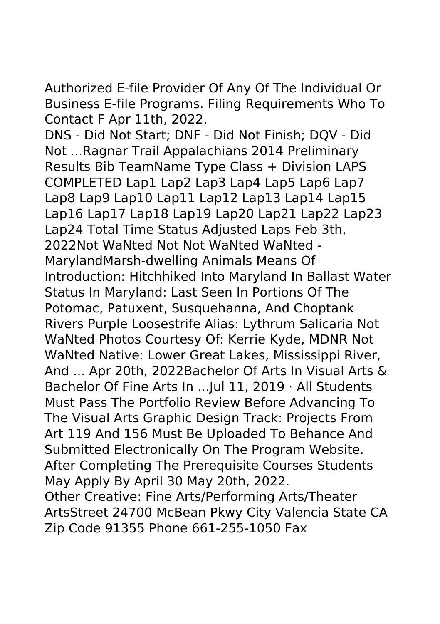Authorized E-file Provider Of Any Of The Individual Or Business E-file Programs. Filing Requirements Who To Contact F Apr 11th, 2022.

DNS - Did Not Start; DNF - Did Not Finish; DQV - Did Not ...Ragnar Trail Appalachians 2014 Preliminary Results Bib TeamName Type Class + Division LAPS COMPLETED Lap1 Lap2 Lap3 Lap4 Lap5 Lap6 Lap7 Lap8 Lap9 Lap10 Lap11 Lap12 Lap13 Lap14 Lap15 Lap16 Lap17 Lap18 Lap19 Lap20 Lap21 Lap22 Lap23 Lap24 Total Time Status Adjusted Laps Feb 3th, 2022Not WaNted Not Not WaNted WaNted -MarylandMarsh-dwelling Animals Means Of Introduction: Hitchhiked Into Maryland In Ballast Water Status In Maryland: Last Seen In Portions Of The Potomac, Patuxent, Susquehanna, And Choptank Rivers Purple Loosestrife Alias: Lythrum Salicaria Not WaNted Photos Courtesy Of: Kerrie Kyde, MDNR Not WaNted Native: Lower Great Lakes, Mississippi River, And ... Apr 20th, 2022Bachelor Of Arts In Visual Arts & Bachelor Of Fine Arts In ...Jul 11, 2019 · All Students Must Pass The Portfolio Review Before Advancing To The Visual Arts Graphic Design Track: Projects From Art 119 And 156 Must Be Uploaded To Behance And Submitted Electronically On The Program Website. After Completing The Prerequisite Courses Students May Apply By April 30 May 20th, 2022. Other Creative: Fine Arts/Performing Arts/Theater ArtsStreet 24700 McBean Pkwy City Valencia State CA

Zip Code 91355 Phone 661-255-1050 Fax